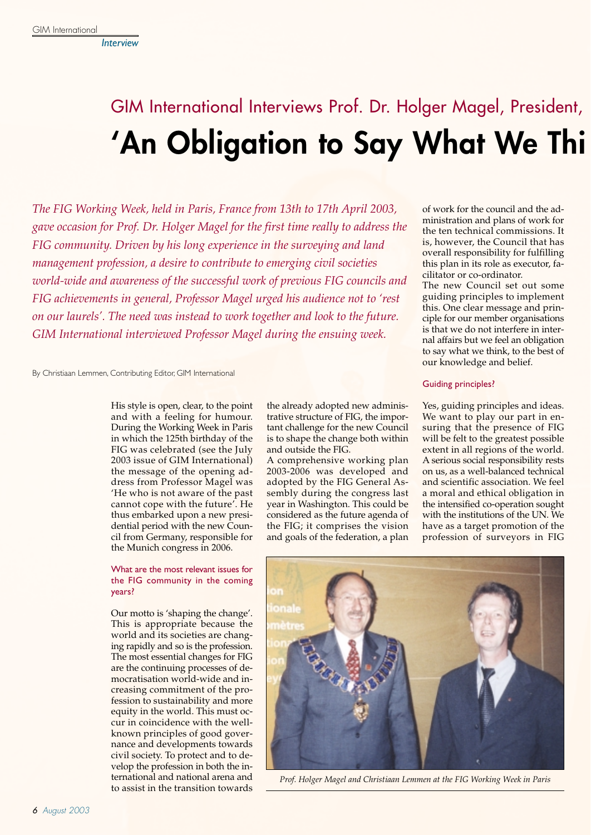*Interview*

# GIM International Interviews Prof. Dr. Holger Magel, President, **'An Obligation to Say What We Thi**

*The FIG Working Week, held in Paris, France from 13th to 17th April 2003, gave occasion for Prof. Dr. Holger Magel for the first time really to address the FIG community. Driven by his long experience in the surveying and land management profession, a desire to contribute to emerging civil societies world-wide and awareness of the successful work of previous FIG councils and FIG achievements in general, Professor Magel urged his audience not to 'rest on our laurels'. The need was instead to work together and look to the future. GIM International interviewed Professor Magel during the ensuing week.*

By Christiaan Lemmen, Contributing Editor, GIM International

His style is open, clear, to the point and with a feeling for humour. During the Working Week in Paris in which the 125th birthday of the FIG was celebrated (see the July 2003 issue of GIM International) the message of the opening address from Professor Magel was 'He who is not aware of the past cannot cope with the future'. He thus embarked upon a new presidential period with the new Council from Germany, responsible for the Munich congress in 2006.

#### What are the most relevant issues for the FIG community in the coming years?

Our motto is 'shaping the change'. This is appropriate because the world and its societies are changing rapidly and so is the profession. The most essential changes for FIG are the continuing processes of democratisation world-wide and increasing commitment of the profession to sustainability and more equity in the world. This must occur in coincidence with the wellknown principles of good governance and developments towards civil society. To protect and to develop the profession in both the international and national arena and to assist in the transition towards

the already adopted new administrative structure of FIG, the important challenge for the new Council is to shape the change both within and outside the FIG.

A comprehensive working plan 2003-2006 was developed and adopted by the FIG General Assembly during the congress last year in Washington. This could be considered as the future agenda of the FIG; it comprises the vision and goals of the federation, a plan

of work for the council and the administration and plans of work for the ten technical commissions. It is, however, the Council that has overall responsibility for fulfilling this plan in its role as executor, facilitator or co-ordinator.

The new Council set out some guiding principles to implement this. One clear message and principle for our member organisations is that we do not interfere in internal affairs but we feel an obligation to say what we think, to the best of our knowledge and belief.

## Guiding principles?

Yes, guiding principles and ideas. We want to play our part in ensuring that the presence of FIG will be felt to the greatest possible extent in all regions of the world. A serious social responsibility rests on us, as a well-balanced technical and scientific association. We feel a moral and ethical obligation in the intensified co-operation sought with the institutions of the UN. We have as a target promotion of the profession of surveyors in FIG



*Prof. Holger Magel and Christiaan Lemmen at the FIG Working Week in Paris*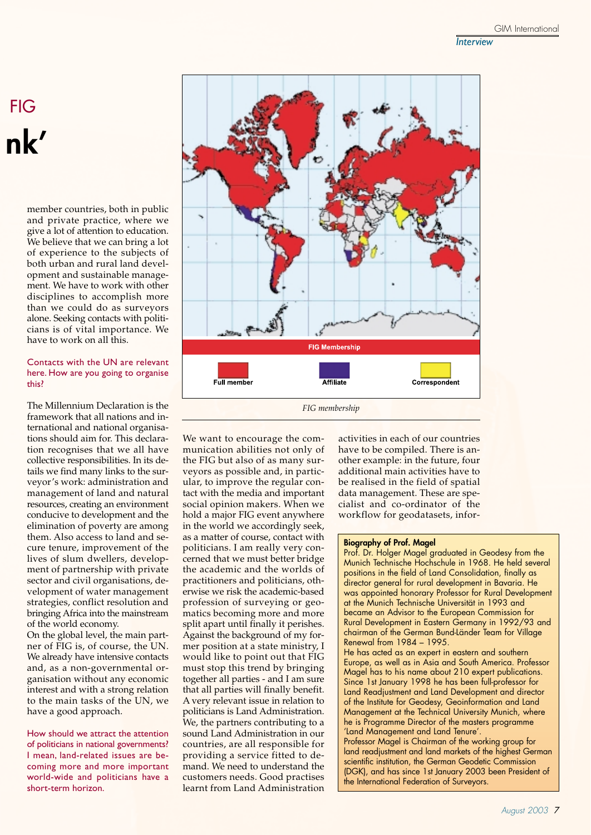## FIG **nk'**

member countries, both in public and private practice, where we give a lot of attention to education. We believe that we can bring a lot of experience to the subjects of both urban and rural land development and sustainable management. We have to work with other disciplines to accomplish more than we could do as surveyors alone. Seeking contacts with politicians is of vital importance. We have to work on all this.

### Contacts with the UN are relevant here. How are you going to organise this?

The Millennium Declaration is the framework that all nations and international and national organisations should aim for. This declaration recognises that we all have collective responsibilities. In its details we find many links to the surveyor's work: administration and management of land and natural resources, creating an environment conducive to development and the elimination of poverty are among them. Also access to land and secure tenure, improvement of the lives of slum dwellers, development of partnership with private sector and civil organisations, development of water management strategies, conflict resolution and bringing Africa into the mainstream of the world economy.

On the global level, the main partner of FIG is, of course, the UN. We already have intensive contacts and, as a non-governmental organisation without any economic interest and with a strong relation to the main tasks of the UN, we have a good approach.

How should we attract the attention of politicians in national governments? I mean, land-related issues are becoming more and more important world-wide and politicians have a short-term horizon.



We want to encourage the communication abilities not only of the FIG but also of as many surveyors as possible and, in particular, to improve the regular contact with the media and important social opinion makers. When we hold a major FIG event anywhere in the world we accordingly seek, as a matter of course, contact with politicians. I am really very concerned that we must better bridge the academic and the worlds of practitioners and politicians, otherwise we risk the academic-based profession of surveying or geomatics becoming more and more split apart until finally it perishes. Against the background of my former position at a state ministry, I would like to point out that FIG must stop this trend by bringing together all parties - and I am sure that all parties will finally benefit. A very relevant issue in relation to politicians is Land Administration. We, the partners contributing to a sound Land Administration in our countries, are all responsible for providing a service fitted to demand. We need to understand the customers needs. Good practises learnt from Land Administration

activities in each of our countries have to be compiled. There is another example: in the future, four additional main activities have to be realised in the field of spatial data management. These are specialist and co-ordinator of the workflow for geodatasets, infor-

#### **Biography of Prof. Magel**

Prof. Dr. Holger Magel graduated in Geodesy from the Munich Technische Hochschule in 1968. He held several positions in the field of Land Consolidation, finally as director general for rural development in Bavaria. He was appointed honorary Professor for Rural Development at the Munich Technische Universität in 1993 and became an Advisor to the European Commission for Rural Development in Eastern Germany in 1992/93 and chairman of the German Bund-Länder Team for Village Renewal from 1984 – 1995.

He has acted as an expert in eastern and southern Europe, as well as in Asia and South America. Professor Magel has to his name about 210 expert publications. Since 1st January 1998 he has been full-professor for Land Readjustment and Land Development and director of the Institute for Geodesy, Geoinformation and Land Management at the Technical University Munich, where he is Programme Director of the masters programme 'Land Management and Land Tenure'.

Professor Magel is Chairman of the working group for land readjustment and land markets of the highest German scientific institution, the German Geodetic Commission (DGK), and has since 1st January 2003 been President of the International Federation of Surveyors.